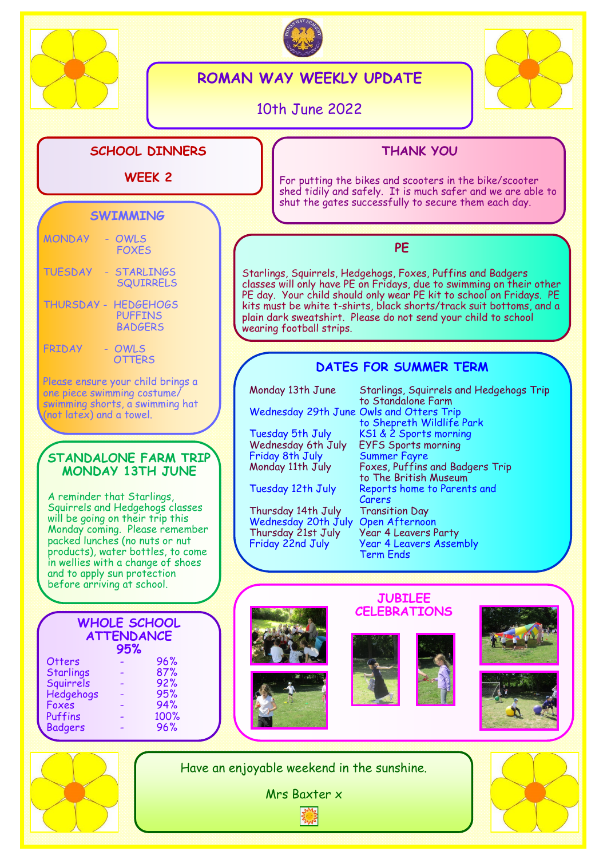



# **ROMAN WAY WEEKLY UPDATE**

10th June 2022

wearing football strips.



## **SCHOOL DINNERS**

### **WEEK 2**

## **THANK YOU**

For putting the bikes and scooters in the bike/scooter shed tidily and safely. It is much safer and we are able to shut the gates successfully to secure them each day.

# **SWIMMING**

| <b>MONDAY</b>     | OWLS<br><b>FOXFS</b>                                 |
|-------------------|------------------------------------------------------|
| <b>TUESDAY</b>    | <b>STARLINGS</b><br><b>SQUIRRELS</b>                 |
| <b>THURSDAY -</b> | <b>HEDGEHOGS</b><br><b>PUFFINS</b><br><b>BADGERS</b> |

#### FRIDAY - OWLS **OTTERS**

Please ensure your child brings a one piece swimming costume/ swimming shorts, a swimming hat (not latex) and a towel.

### **STANDALONE FARM TRIP MONDAY 13TH JUNE**

A reminder that Starlings, Squirrels and Hedgehogs classes will be going on their trip this Monday coming. Please remember packed lunches (no nuts or nut products), water bottles, to come in wellies with a change of shoes and to apply sun protection before arriving at school.

**WHOLE SCHOOL ATTENDANCE 95%** Otters - 96% Starlings - 87% Squirrels - 92% Hedgehogs - 95% Foxes - 94% **Puffins** Badgers - 96%

**PE** Starlings, Squirrels, Hedgehogs, Foxes, Puffins and Badgers classes will only have PE on Fridays, due to swimming on their other PE day. Your child should only wear PE kit to school on Fridays. PE kits must be white t-shirts, black shorts/track suit bottoms, and a plain dark sweatshirt. Please do not send your child to school

## **DATES FOR SUMMER TERM**

| Monday 13th June                         | Starlings, Squirrels and Hedgehogs Trip<br>to Standalone Farm |
|------------------------------------------|---------------------------------------------------------------|
| Wednesday 29th June Owls and Otters Trip |                                                               |
|                                          | to Shepreth Wildlife Park                                     |
| Tuesday 5th July                         | KS1 & 2 Sports morning                                        |
| Wednesday 6th July                       | <b>EYFS Sports morning</b>                                    |
| Friday 8th July                          | <b>Summer Fayre</b>                                           |
| Monday 11th July                         | Foxes, Puffins and Badgers Trip                               |
|                                          | to The British Museum                                         |
| Tuesday 12th July                        | Reports home to Parents and                                   |
|                                          | Carers                                                        |
| Thursday 14th July                       | <b>Transition Day</b>                                         |
| Wednesday 20th July                      | <b>Open Afternoon</b>                                         |
| Thursday 21st July                       | <b>Year 4 Leavers Party</b>                                   |
| Friday 22nd July                         | <b>Year 4 Leavers Assembly</b>                                |
|                                          | Term Ends                                                     |



Have an enjoyable weekend in the sunshine.

Mrs Baxter x